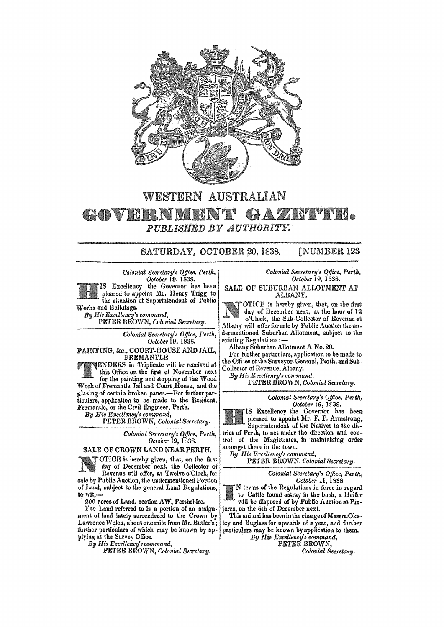

## WESTERN AUSTRALIAN

GOVERNMENT GAZETTE PUBLISHED BY AUTHORITY.

> SATURDAY, OCTOBER 20, 1838. **[NUMBER 123**

Colonial Secretary's Office, Perth, October 19, 1838.

IS Excellency the Governor has been pleased to appoint Mr. Henry Trigg to the situation of Superintendent of Public Works and Buildings.

By His Excellency's command, PETER BROWN, Colonial Secretary.

> Colonial Secretary's Office, Perth, October 19, 1838.

PAINTING, &c., COURT-HOUSE AND JAIL, FREMANTLE.

**ENDERS** in Triplicate will be received at this Office on the first of November next for the painting and stopping of the Wood Work of Fremantle Jail and Court House, and the

glazing of certain broken panes.-For further particulars, application to be made to the Resident. Fremantle, or the Civil Engineer, Perth.

By His Excellency's command,<br>PETER BROWN, Colonial Secretary.

Colonial Secretary's Office, Perth, October 19, 1838.

## SALE OF CROWN LAND NEAR PERTH.

OTICE is hereby given, that, on the first day of December next, the Collector of Revenue will offer, at Twelve o'Clock, for sale by Public Auction, the undermentioned Portion of Land, subject to the general Land Regulations,

to wit,-200 acres of Land, section AW, Perthshire.

The Land referred to is a portion of an assignment of land lately surrendered to the Crown by Lawrence Welch, about one mile from Mr. Butler's; further particulars of which may be known by applying at the Survey Office.

By His Excellency's command,

PETER BROWN, Colonial Secretary.

Colonial Secretary's Office, Perth, October 19, 1838.

SALE OF SUBURBAN ALLOTMENT AT ALBANY.

OTICE is hereby given, that, on the first day of December next, at the hour of 12 o'Clock, the Sub-Collector of Revenue at Albany will offer for sale by Public Auction the undermentioned Suburban Allotment, subject to the existing Regulations :-

Albany Suburban Allotment A No. 20.

For further particulars, application to be made to the Offices of the Surveyor-General, Perth, and Sub-Collector of Revenue, Albany.

By His Excellency's command,

PETER BROWN, Colonial Secretary.

Colonial Secretary's Office, Perth, October 19, 1838.

IS Excellency the Governor has been pleased to appoint Mr. F. F. Armstrong, Superintendent of the Natives in the district of Perth, to act under the direction and control of the Magistrates, in maintaining order amongst them in the town.

By His Excellency's command,

PETER BROWN, Colonial Secretary.

Colonial Secretary's Office, Perth, *October* 11, 1838

N terms of the Regulations in force in regard to Cattle found astray in the bush, a Heifer will be disposed of by Public Auction at Pinjarra, on the 6th of December next.

This animal has been in the charge of Messrs. Okeley and Buglass for upwards of a year, and further<br>particulars may be known by application to them.

By His Excellency's command, PETER BROWN.

Colonial Seeretary.